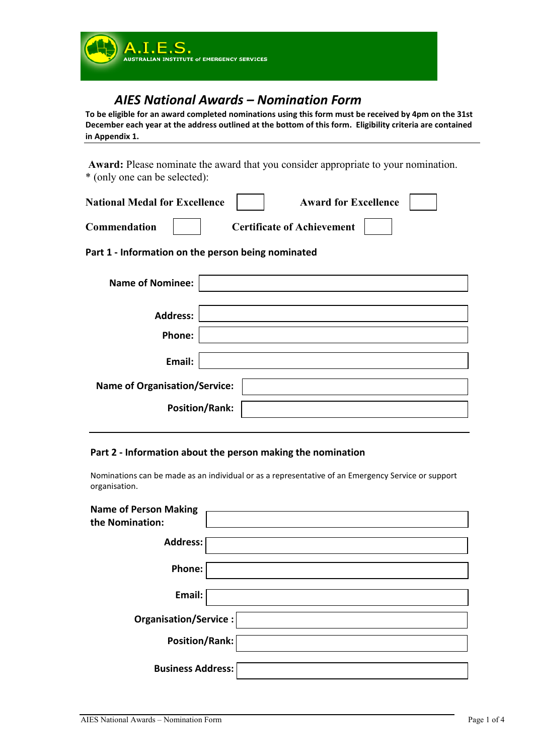

# *AIES National Awards – Nomination Form*

**To be eligible for an award completed nominations using this form must be received by 4pm on the 31st December each year at the address outlined at the bottom of this form. Eligibility criteria are contained in Appendix 1.**

**Award:** Please nominate the award that you consider appropriate to your nomination. \* (only one can be selected):

| <b>National Medal for Excellence</b> | <b>Award for Excellence</b>       |  |
|--------------------------------------|-----------------------------------|--|
| <b>Commendation</b>                  | <b>Certificate of Achievement</b> |  |

**Part 1 - Information on the person being nominated**

| <b>Name of Nominee:</b>              |                       |  |
|--------------------------------------|-----------------------|--|
| <b>Address:</b>                      |                       |  |
| Phone:                               |                       |  |
| Email:                               |                       |  |
| <b>Name of Organisation/Service:</b> |                       |  |
|                                      | <b>Position/Rank:</b> |  |

### **Part 2 - Information about the person making the nomination**

Nominations can be made as an individual or as a representative of an Emergency Service or support organisation.

| <b>Name of Person Making</b><br>the Nomination: |  |
|-------------------------------------------------|--|
| Address:                                        |  |
| Phone:                                          |  |
| Email:                                          |  |
| Organisation/Service:                           |  |
| Position/Rank:                                  |  |
| <b>Business Address:</b>                        |  |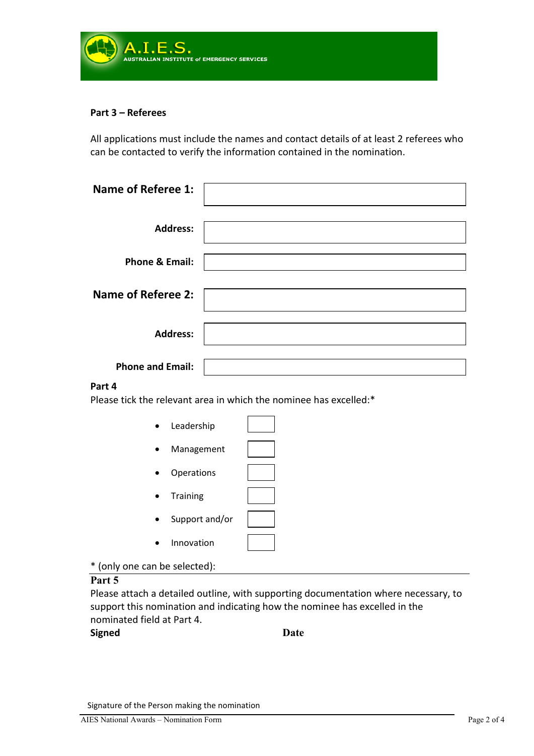

### **Part 3 – Referees**

All applications must include the names and contact details of at least 2 referees who can be contacted to verify the information contained in the nomination.

| <b>Name of Referee 1:</b> |  |
|---------------------------|--|
| <b>Address:</b>           |  |
| <b>Phone &amp; Email:</b> |  |
| <b>Name of Referee 2:</b> |  |
| <b>Address:</b>           |  |
| <b>Phone and Email:</b>   |  |

### **Part 4**

Please tick the relevant area in which the nominee has excelled:\*

| Leadership        |  |
|-------------------|--|
| Management        |  |
| <b>Operations</b> |  |
| <b>Training</b>   |  |
| Support and/or    |  |
| Innovation        |  |

\* (only one can be selected):

### **Part 5**

Please attach a detailed outline, with supporting documentation where necessary, to support this nomination and indicating how the nominee has excelled in the nominated field at Part 4.

### **Signed Date**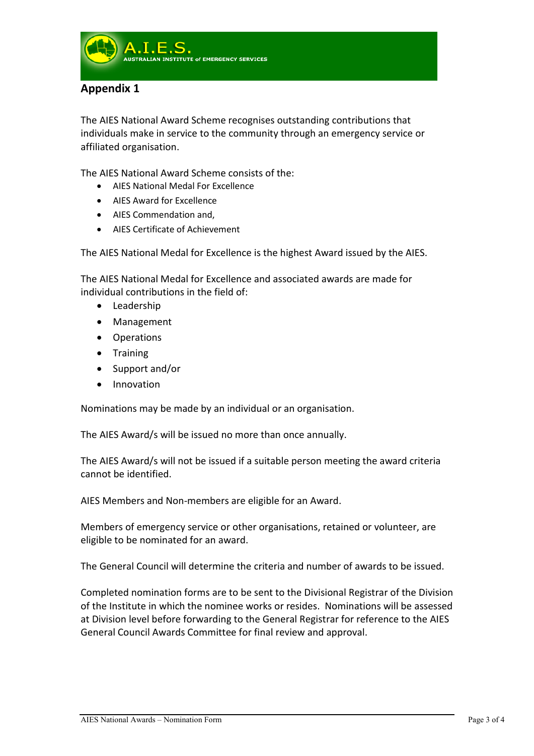

## **Appendix 1**

The AIES National Award Scheme recognises outstanding contributions that individuals make in service to the community through an emergency service or affiliated organisation.

The AIES National Award Scheme consists of the:

- AIES National Medal For Excellence
- AIES Award for Excellence
- AIES Commendation and,
- AIES Certificate of Achievement

The AIES National Medal for Excellence is the highest Award issued by the AIES.

The AIES National Medal for Excellence and associated awards are made for individual contributions in the field of:

- Leadership
- Management
- Operations
- Training
- Support and/or
- Innovation

Nominations may be made by an individual or an organisation.

The AIES Award/s will be issued no more than once annually.

The AIES Award/s will not be issued if a suitable person meeting the award criteria cannot be identified.

AIES Members and Non-members are eligible for an Award.

Members of emergency service or other organisations, retained or volunteer, are eligible to be nominated for an award.

The General Council will determine the criteria and number of awards to be issued.

Completed nomination forms are to be sent to the Divisional Registrar of the Division of the Institute in which the nominee works or resides. Nominations will be assessed at Division level before forwarding to the General Registrar for reference to the AIES General Council Awards Committee for final review and approval.